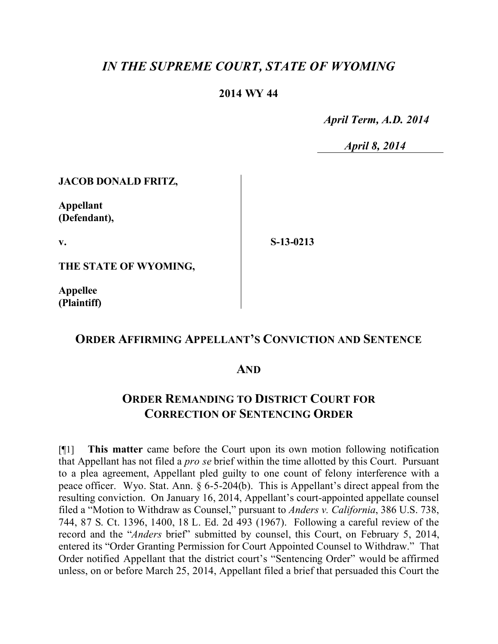# *IN THE SUPREME COURT, STATE OF WYOMING*

### **2014 WY 44**

 *April Term, A.D. 2014*

 *April 8, 2014*

#### **JACOB DONALD FRITZ,**

**Appellant (Defendant),**

**v.**

**S-13-0213**

**THE STATE OF WYOMING,**

**Appellee (Plaintiff)**

## **ORDER AFFIRMING APPELLANT'S CONVICTION AND SENTENCE**

### **AND**

## **ORDER REMANDING TO DISTRICT COURT FOR CORRECTION OF SENTENCING ORDER**

[¶1] **This matter** came before the Court upon its own motion following notification that Appellant has not filed a *pro se* brief within the time allotted by this Court. Pursuant to a plea agreement, Appellant pled guilty to one count of felony interference with a peace officer. Wyo. Stat. Ann. § 6-5-204(b). This is Appellant's direct appeal from the resulting conviction. On January 16, 2014, Appellant's court-appointed appellate counsel filed a "Motion to Withdraw as Counsel," pursuant to *Anders v. California*, 386 U.S. 738, 744, 87 S. Ct. 1396, 1400, 18 L. Ed. 2d 493 (1967). Following a careful review of the record and the "*Anders* brief" submitted by counsel, this Court, on February 5, 2014, entered its "Order Granting Permission for Court Appointed Counsel to Withdraw." That Order notified Appellant that the district court's "Sentencing Order" would be affirmed unless, on or before March 25, 2014, Appellant filed a brief that persuaded this Court the